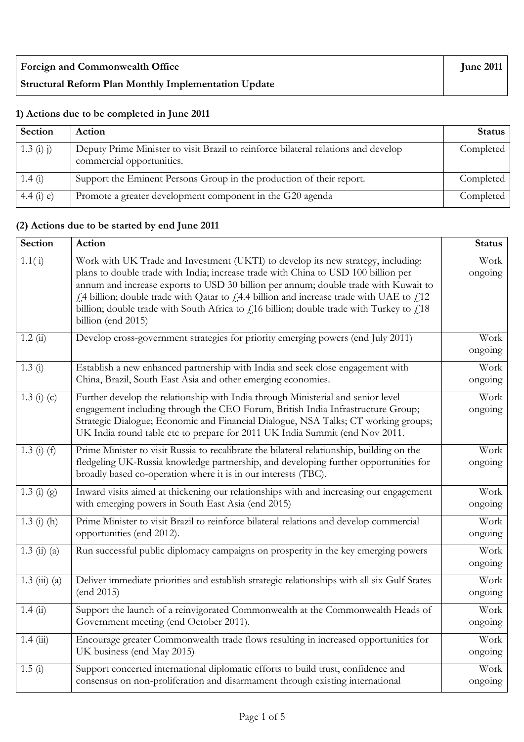| <b>Foreign and Commonwealth Office</b>                      | <b>June 2011</b> |
|-------------------------------------------------------------|------------------|
| <b>Structural Reform Plan Monthly Implementation Update</b> |                  |

## **1) Actions due to be completed in June 2011**

| Section     | Action                                                                                                          | <b>Status</b> |
|-------------|-----------------------------------------------------------------------------------------------------------------|---------------|
| $1.3(i)$ i) | Deputy Prime Minister to visit Brazil to reinforce bilateral relations and develop<br>commercial opportunities. | Completed     |
| 1.4(i)      | Support the Eminent Persons Group in the production of their report.                                            | Completed     |
| 4.4 (i) e)  | Promote a greater development component in the G20 agenda                                                       | Completed     |

## **(2) Actions due to be started by end June 2011**

| <b>Section</b>                     | Action                                                                                                                                                                                                                                                                                                                                                                                                                                                                         | <b>Status</b>   |
|------------------------------------|--------------------------------------------------------------------------------------------------------------------------------------------------------------------------------------------------------------------------------------------------------------------------------------------------------------------------------------------------------------------------------------------------------------------------------------------------------------------------------|-----------------|
| 1.1(i)                             | Work with UK Trade and Investment (UKTI) to develop its new strategy, including:<br>plans to double trade with India; increase trade with China to USD 100 billion per<br>annum and increase exports to USD 30 billion per annum; double trade with Kuwait to<br>£4 billion; double trade with Qatar to £4.4 billion and increase trade with UAE to £12<br>billion; double trade with South Africa to $fi16$ billion; double trade with Turkey to $fi18$<br>billion (end 2015) | Work<br>ongoing |
| 1.2(i)                             | Develop cross-government strategies for priority emerging powers (end July 2011)                                                                                                                                                                                                                                                                                                                                                                                               | Work<br>ongoing |
| 1.3(i)                             | Establish a new enhanced partnership with India and seek close engagement with<br>China, Brazil, South East Asia and other emerging economies.                                                                                                                                                                                                                                                                                                                                 | Work<br>ongoing |
| 1.3 (i) (c)                        | Further develop the relationship with India through Ministerial and senior level<br>engagement including through the CEO Forum, British India Infrastructure Group;<br>Strategic Dialogue; Economic and Financial Dialogue, NSA Talks; CT working groups;<br>UK India round table etc to prepare for 2011 UK India Summit (end Nov 2011.                                                                                                                                       | Work<br>ongoing |
| $1.3(i)$ (f)                       | Prime Minister to visit Russia to recalibrate the bilateral relationship, building on the<br>fledgeling UK-Russia knowledge partnership, and developing further opportunities for<br>broadly based co-operation where it is in our interests (TBC).                                                                                                                                                                                                                            | Work<br>ongoing |
| $1.3(j)$ (g)                       | Inward visits aimed at thickening our relationships with and increasing our engagement<br>with emerging powers in South East Asia (end 2015)                                                                                                                                                                                                                                                                                                                                   | Work<br>ongoing |
| $1.3$ (i) (h)                      | Prime Minister to visit Brazil to reinforce bilateral relations and develop commercial<br>opportunities (end 2012).                                                                                                                                                                                                                                                                                                                                                            | Work<br>ongoing |
| $1.3 \; \text{(ii)} \; \text{(a)}$ | Run successful public diplomacy campaigns on prosperity in the key emerging powers                                                                                                                                                                                                                                                                                                                                                                                             | Work<br>ongoing |
| $1.3 \ (iii) \ (a)$                | Deliver immediate priorities and establish strategic relationships with all six Gulf States<br>(end 2015)                                                                                                                                                                                                                                                                                                                                                                      | Work<br>ongoing |
| 1.4(i)                             | Support the launch of a reinvigorated Commonwealth at the Commonwealth Heads of<br>Government meeting (end October 2011).                                                                                                                                                                                                                                                                                                                                                      | Work<br>ongoing |
| 1.4(iii)                           | Encourage greater Commonwealth trade flows resulting in increased opportunities for<br>UK business (end May 2015)                                                                                                                                                                                                                                                                                                                                                              | Work<br>ongoing |
| 1.5(i)                             | Support concerted international diplomatic efforts to build trust, confidence and<br>consensus on non-proliferation and disarmament through existing international                                                                                                                                                                                                                                                                                                             | Work<br>ongoing |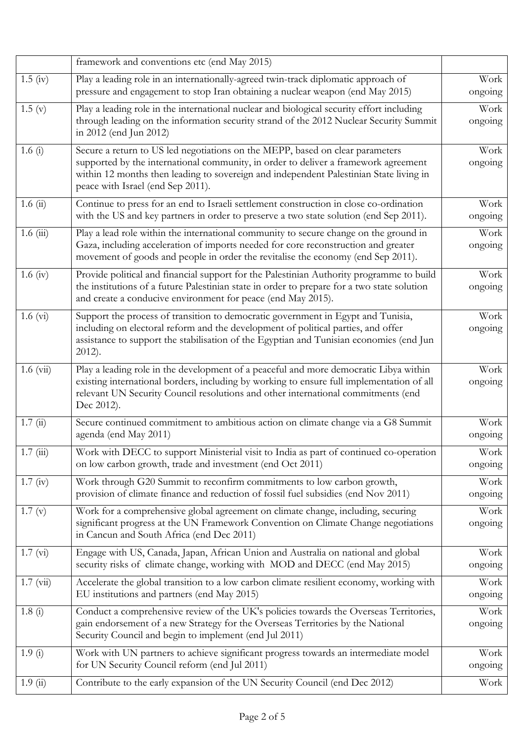|                       | framework and conventions etc (end May 2015)                                                                                                                                                                                                                                                        |                 |
|-----------------------|-----------------------------------------------------------------------------------------------------------------------------------------------------------------------------------------------------------------------------------------------------------------------------------------------------|-----------------|
| $1.5 \; (iv)$         | Play a leading role in an internationally-agreed twin-track diplomatic approach of<br>pressure and engagement to stop Iran obtaining a nuclear weapon (end May 2015)                                                                                                                                | Work<br>ongoing |
| 1.5(y)                | Play a leading role in the international nuclear and biological security effort including<br>through leading on the information security strand of the 2012 Nuclear Security Summit<br>in 2012 (end Jun 2012)                                                                                       | Work<br>ongoing |
| 1.6 $(i)$             | Secure a return to US led negotiations on the MEPP, based on clear parameters<br>supported by the international community, in order to deliver a framework agreement<br>within 12 months then leading to sovereign and independent Palestinian State living in<br>peace with Israel (end Sep 2011). | Work<br>ongoing |
| 1.6(i)                | Continue to press for an end to Israeli settlement construction in close co-ordination<br>with the US and key partners in order to preserve a two state solution (end Sep 2011).                                                                                                                    | Work<br>ongoing |
| 1.6(iii)              | Play a lead role within the international community to secure change on the ground in<br>Gaza, including acceleration of imports needed for core reconstruction and greater<br>movement of goods and people in order the revitalise the economy (end Sep 2011).                                     | Work<br>ongoing |
| 1.6 $(iv)$            | Provide political and financial support for the Palestinian Authority programme to build<br>the institutions of a future Palestinian state in order to prepare for a two state solution<br>and create a conducive environment for peace (end May 2015).                                             | Work<br>ongoing |
| $1.6 \text{ (vi)}$    | Support the process of transition to democratic government in Egypt and Tunisia,<br>including on electoral reform and the development of political parties, and offer<br>assistance to support the stabilisation of the Egyptian and Tunisian economies (end Jun<br>$2012$ ).                       | Work<br>ongoing |
| $1.6 \ (vi)$          | Play a leading role in the development of a peaceful and more democratic Libya within<br>existing international borders, including by working to ensure full implementation of all<br>relevant UN Security Council resolutions and other international commitments (end<br>Dec 2012).               | Work<br>ongoing |
| $\overline{1.7}$ (ii) | Secure continued commitment to ambitious action on climate change via a G8 Summit<br>agenda (end May 2011)                                                                                                                                                                                          | Work<br>ongoing |
| 1.7(iii)              | Work with DECC to support Ministerial visit to India as part of continued co-operation<br>on low carbon growth, trade and investment (end Oct 2011)                                                                                                                                                 | Work<br>ongoing |
| $1.7 \text{ (iv)}$    | Work through G20 Summit to reconfirm commitments to low carbon growth,<br>provision of climate finance and reduction of fossil fuel subsidies (end Nov 2011)                                                                                                                                        | Work<br>ongoing |
| 1.7(y)                | Work for a comprehensive global agreement on climate change, including, securing<br>significant progress at the UN Framework Convention on Climate Change negotiations<br>in Cancun and South Africa (end Dec 2011)                                                                                 | Work<br>ongoing |
| 1.7 (vi)              | Engage with US, Canada, Japan, African Union and Australia on national and global<br>security risks of climate change, working with MOD and DECC (end May 2015)                                                                                                                                     | Work<br>ongoing |
| $1.7 \ (vi)$          | Accelerate the global transition to a low carbon climate resilient economy, working with<br>EU institutions and partners (end May 2015)                                                                                                                                                             | Work<br>ongoing |
| 1.8(i)                | Conduct a comprehensive review of the UK's policies towards the Overseas Territories,<br>gain endorsement of a new Strategy for the Overseas Territories by the National<br>Security Council and begin to implement (end Jul 2011)                                                                  | Work<br>ongoing |
| 1.9(i)                | Work with UN partners to achieve significant progress towards an intermediate model<br>for UN Security Council reform (end Jul 2011)                                                                                                                                                                | Work<br>ongoing |
| 1.9(i)                | Contribute to the early expansion of the UN Security Council (end Dec 2012)                                                                                                                                                                                                                         | Work            |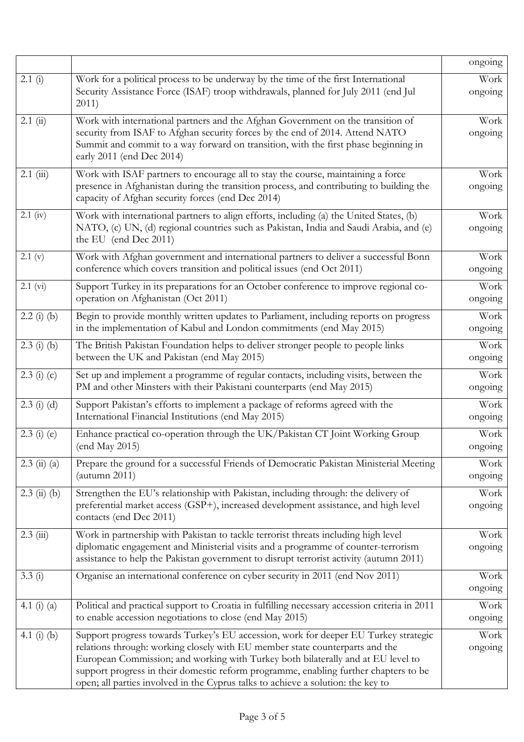|                 |                                                                                                                                                                                                                                                                                                                                                                                                                                     | ongoing         |
|-----------------|-------------------------------------------------------------------------------------------------------------------------------------------------------------------------------------------------------------------------------------------------------------------------------------------------------------------------------------------------------------------------------------------------------------------------------------|-----------------|
| 2.1(i)          | Work for a political process to be underway by the time of the first International<br>Security Assistance Force (ISAF) troop withdrawals, planned for July 2011 (end Jul<br>2011)                                                                                                                                                                                                                                                   | Work<br>ongoing |
| $2.1$ (ii)      | Work with international partners and the Afghan Government on the transition of<br>security from ISAF to Afghan security forces by the end of 2014. Attend NATO<br>Summit and commit to a way forward on transition, with the first phase beginning in<br>early 2011 (end Dec 2014)                                                                                                                                                 | Work<br>ongoing |
| $2.1$ (iii)     | Work with ISAF partners to encourage all to stay the course, maintaining a force<br>presence in Afghanistan during the transition process, and contributing to building the<br>capacity of Afghan security forces (end Dec 2014)                                                                                                                                                                                                    | Work<br>ongoing |
| $2.1$ (iv)      | Work with international partners to align efforts, including (a) the United States, (b)<br>NATO, (c) UN, (d) regional countries such as Pakistan, India and Saudi Arabia, and (e)<br>the EU (end Dec 2011)                                                                                                                                                                                                                          | Work<br>ongoing |
| 2.1 (v)         | Work with Afghan government and international partners to deliver a successful Bonn<br>conference which covers transition and political issues (end Oct 2011)                                                                                                                                                                                                                                                                       | Work<br>ongoing |
| 2.1 (vi)        | Support Turkey in its preparations for an October conference to improve regional co-<br>operation on Afghanistan (Oct 2011)                                                                                                                                                                                                                                                                                                         | Work<br>ongoing |
| $2.2$ (i) (b)   | Begin to provide monthly written updates to Parliament, including reports on progress<br>in the implementation of Kabul and London commitments (end May 2015)                                                                                                                                                                                                                                                                       | Work<br>ongoing |
| $2.3$ (i) (b)   | The British Pakistan Foundation helps to deliver stronger people to people links<br>between the UK and Pakistan (end May 2015)                                                                                                                                                                                                                                                                                                      | Work<br>ongoing |
| $2.3$ (i) (c)   | Set up and implement a programme of regular contacts, including visits, between the<br>PM and other Minsters with their Pakistani counterparts (end May 2015)                                                                                                                                                                                                                                                                       | Work<br>ongoing |
| $2.3$ (i) (d)   | Support Pakistan's efforts to implement a package of reforms agreed with the<br>International Financial Institutions (end May 2015)                                                                                                                                                                                                                                                                                                 | Work<br>ongoing |
| $2.3$ (i) (e)   | Enhance practical co-operation through the UK/Pakistan CT Joint Working Group<br>(end May 2015)                                                                                                                                                                                                                                                                                                                                     | Work<br>ongoing |
| $2.3$ (ii) (a)  | Prepare the ground for a successful Friends of Democratic Pakistan Ministerial Meeting<br>$($ autumn 2011)                                                                                                                                                                                                                                                                                                                          | Work<br>ongoing |
| $2.3$ (ii) (b)  | Strengthen the EU's relationship with Pakistan, including through: the delivery of<br>preferential market access (GSP+), increased development assistance, and high level<br>contacts (end Dec 2011)                                                                                                                                                                                                                                | Work<br>ongoing |
| $2.3$ (iii)     | Work in partnership with Pakistan to tackle terrorist threats including high level<br>diplomatic engagement and Ministerial visits and a programme of counter-terrorism<br>assistance to help the Pakistan government to disrupt terrorist activity (autumn 2011)                                                                                                                                                                   | Work<br>ongoing |
| 3.3(i)          | Organise an international conference on cyber security in 2011 (end Nov 2011)                                                                                                                                                                                                                                                                                                                                                       | Work<br>ongoing |
| 4.1 $(i)$ $(a)$ | Political and practical support to Croatia in fulfilling necessary accession criteria in 2011<br>to enable accession negotiations to close (end May 2015)                                                                                                                                                                                                                                                                           | Work<br>ongoing |
| 4.1 $(i)$ $(b)$ | Support progress towards Turkey's EU accession, work for deeper EU Turkey strategic<br>relations through: working closely with EU member state counterparts and the<br>European Commission; and working with Turkey both bilaterally and at EU level to<br>support progress in their domestic reform programme, enabling further chapters to be<br>open; all parties involved in the Cyprus talks to achieve a solution: the key to | Work<br>ongoing |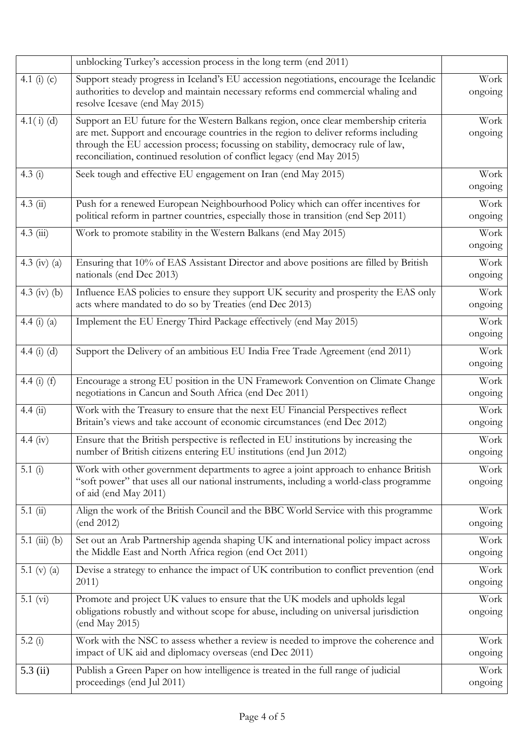|                 | unblocking Turkey's accession process in the long term (end 2011)                                                                                                                                                                                                                                                                        |                 |
|-----------------|------------------------------------------------------------------------------------------------------------------------------------------------------------------------------------------------------------------------------------------------------------------------------------------------------------------------------------------|-----------------|
| 4.1 (i) $(c)$   | Support steady progress in Iceland's EU accession negotiations, encourage the Icelandic<br>authorities to develop and maintain necessary reforms end commercial whaling and<br>resolve Icesave (end May 2015)                                                                                                                            | Work<br>ongoing |
| $4.1(i)$ (d)    | Support an EU future for the Western Balkans region, once clear membership criteria<br>are met. Support and encourage countries in the region to deliver reforms including<br>through the EU accession process; focussing on stability, democracy rule of law,<br>reconciliation, continued resolution of conflict legacy (end May 2015) | Work<br>ongoing |
| 4.3 $(i)$       | Seek tough and effective EU engagement on Iran (end May 2015)                                                                                                                                                                                                                                                                            | Work<br>ongoing |
| $4.3 \; (ii)$   | Push for a renewed European Neighbourhood Policy which can offer incentives for<br>political reform in partner countries, especially those in transition (end Sep 2011)                                                                                                                                                                  | Work<br>ongoing |
| $4.3$ (iii)     | Work to promote stability in the Western Balkans (end May 2015)                                                                                                                                                                                                                                                                          | Work<br>ongoing |
| 4.3 (iv) (a)    | Ensuring that 10% of EAS Assistant Director and above positions are filled by British<br>nationals (end Dec 2013)                                                                                                                                                                                                                        | Work<br>ongoing |
| 4.3 (iv) (b)    | Influence EAS policies to ensure they support UK security and prosperity the EAS only<br>acts where mandated to do so by Treaties (end Dec 2013)                                                                                                                                                                                         | Work<br>ongoing |
| 4.4 $(i)$ $(a)$ | Implement the EU Energy Third Package effectively (end May 2015)                                                                                                                                                                                                                                                                         |                 |
| 4.4 $(i)$ $(d)$ | Support the Delivery of an ambitious EU India Free Trade Agreement (end 2011)                                                                                                                                                                                                                                                            | Work<br>ongoing |
| 4.4 $(i)$ $(f)$ | Encourage a strong EU position in the UN Framework Convention on Climate Change<br>negotiations in Cancun and South Africa (end Dec 2011)                                                                                                                                                                                                | Work<br>ongoing |
| 4.4(ii)         | Work with the Treasury to ensure that the next EU Financial Perspectives reflect<br>Britain's views and take account of economic circumstances (end Dec 2012)                                                                                                                                                                            | Work<br>ongoing |
| 4.4 $(iv)$      | Ensure that the British perspective is reflected in EU institutions by increasing the<br>number of British citizens entering EU institutions (end Jun 2012)                                                                                                                                                                              | Work<br>ongoing |
| 5.1 $(i)$       | Work with other government departments to agree a joint approach to enhance British<br>"soft power" that uses all our national instruments, including a world-class programme<br>of aid (end May 2011)                                                                                                                                   | Work<br>ongoing |
| 5.1(i)          | Align the work of the British Council and the BBC World Service with this programme<br>(end 2012)                                                                                                                                                                                                                                        | Work<br>ongoing |
| 5.1 (iii) (b)   | Set out an Arab Partnership agenda shaping UK and international policy impact across<br>the Middle East and North Africa region (end Oct 2011)                                                                                                                                                                                           | Work<br>ongoing |
| 5.1 (v) $(a)$   | Devise a strategy to enhance the impact of UK contribution to conflict prevention (end<br>2011)                                                                                                                                                                                                                                          | Work<br>ongoing |
| 5.1 (vi)        | Promote and project UK values to ensure that the UK models and upholds legal<br>obligations robustly and without scope for abuse, including on universal jurisdiction<br>(end May 2015)                                                                                                                                                  | Work<br>ongoing |
| 5.2 $(i)$       | Work with the NSC to assess whether a review is needed to improve the coherence and<br>impact of UK aid and diplomacy overseas (end Dec 2011)                                                                                                                                                                                            | Work<br>ongoing |
| $5.3$ (ii)      | Publish a Green Paper on how intelligence is treated in the full range of judicial<br>proceedings (end Jul 2011)                                                                                                                                                                                                                         | Work<br>ongoing |